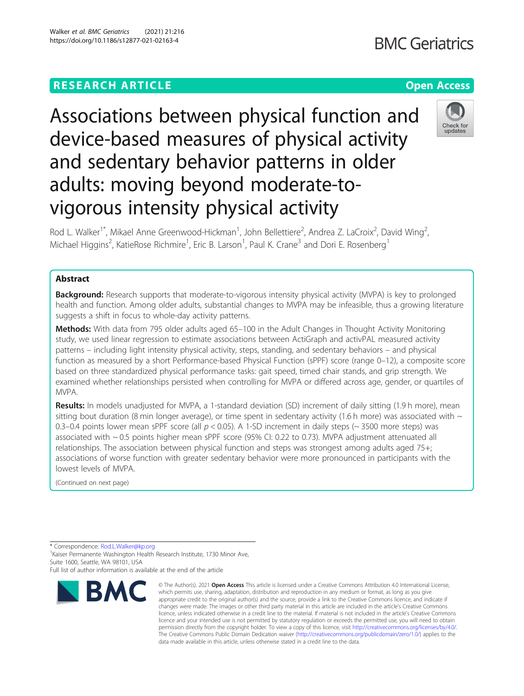## **RESEARCH ARTICLE Example 2014 12:30 The Contract of Contract ACCESS**

# Associations between physical function and device-based measures of physical activity and sedentary behavior patterns in older adults: moving beyond moderate-tovigorous intensity physical activity



Rod L. Walker<sup>1\*</sup>, Mikael Anne Greenwood-Hickman<sup>1</sup>, John Bellettiere<sup>2</sup>, Andrea Z. LaCroix<sup>2</sup>, David Wing<sup>2</sup> , Michael Higgins<sup>2</sup>, KatieRose Richmire<sup>1</sup>, Eric B. Larson<sup>1</sup>, Paul K. Crane<sup>3</sup> and Dori E. Rosenberg<sup>1</sup>

## Abstract

**Background:** Research supports that moderate-to-vigorous intensity physical activity (MVPA) is key to prolonged health and function. Among older adults, substantial changes to MVPA may be infeasible, thus a growing literature suggests a shift in focus to whole-day activity patterns.

**Methods:** With data from 795 older adults aged 65–100 in the Adult Changes in Thought Activity Monitoring study, we used linear regression to estimate associations between ActiGraph and activPAL measured activity patterns – including light intensity physical activity, steps, standing, and sedentary behaviors – and physical function as measured by a short Performance-based Physical Function (sPPF) score (range 0–12), a composite score based on three standardized physical performance tasks: gait speed, timed chair stands, and grip strength. We examined whether relationships persisted when controlling for MVPA or differed across age, gender, or quartiles of MVPA.

Results: In models unadjusted for MVPA, a 1-standard deviation (SD) increment of daily sitting (1.9 h more), mean sitting bout duration (8 min longer average), or time spent in sedentary activity (1.6 h more) was associated with  $\sim$ 0.3–0.4 points lower mean sPPF score (all  $p < 0.05$ ). A 1-SD increment in daily steps ( $\sim$  3500 more steps) was associated with ~ 0.5 points higher mean sPPF score (95% CI: 0.22 to 0.73). MVPA adjustment attenuated all relationships. The association between physical function and steps was strongest among adults aged 75+; associations of worse function with greater sedentary behavior were more pronounced in participants with the lowest levels of MVPA.

(Continued on next page)

\* Correspondence: [Rod.L.Walker@kp.org](mailto:Rod.L.Walker@kp.org) <sup>1</sup>

<sup>1</sup> Kaiser Permanente Washington Health Research Institute, 1730 Minor Ave, Suite 1600, Seattle, WA 98101, USA

**BMC Geriatrics** 

Full list of author information is available at the end of the article

**RMC** 

<sup>©</sup> The Author(s), 2021 **Open Access** This article is licensed under a Creative Commons Attribution 4.0 International License, which permits use, sharing, adaptation, distribution and reproduction in any medium or format, as long as you give appropriate credit to the original author(s) and the source, provide a link to the Creative Commons licence, and indicate if changes were made. The images or other third party material in this article are included in the article's Creative Commons licence, unless indicated otherwise in a credit line to the material. If material is not included in the article's Creative Commons licence and your intended use is not permitted by statutory regulation or exceeds the permitted use, you will need to obtain permission directly from the copyright holder. To view a copy of this licence, visit [http://creativecommons.org/licenses/by/4.0/.](http://creativecommons.org/licenses/by/4.0/) The Creative Commons Public Domain Dedication waiver [\(http://creativecommons.org/publicdomain/zero/1.0/](http://creativecommons.org/publicdomain/zero/1.0/)) applies to the data made available in this article, unless otherwise stated in a credit line to the data.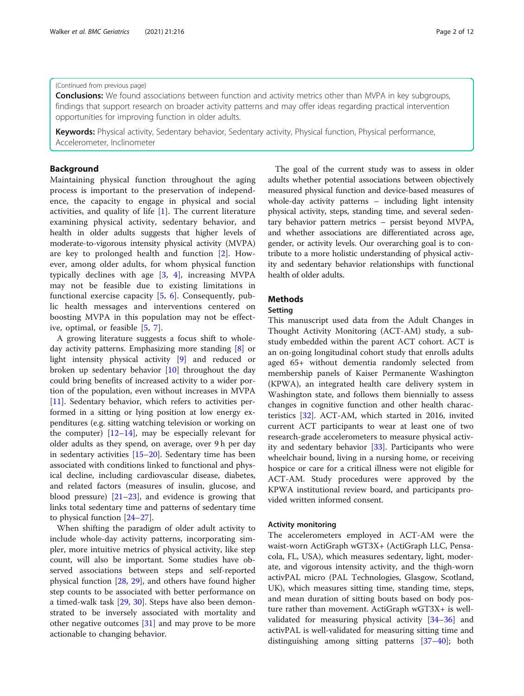#### (Continued from previous page)

**Conclusions:** We found associations between function and activity metrics other than MVPA in key subgroups, findings that support research on broader activity patterns and may offer ideas regarding practical intervention opportunities for improving function in older adults.

Keywords: Physical activity, Sedentary behavior, Sedentary activity, Physical function, Physical performance, Accelerometer, Inclinometer

### Background

Maintaining physical function throughout the aging process is important to the preservation of independence, the capacity to engage in physical and social activities, and quality of life [[1\]](#page-9-0). The current literature examining physical activity, sedentary behavior, and health in older adults suggests that higher levels of moderate-to-vigorous intensity physical activity (MVPA) are key to prolonged health and function [\[2](#page-9-0)]. However, among older adults, for whom physical function typically declines with age [[3,](#page-10-0) [4](#page-10-0)], increasing MVPA may not be feasible due to existing limitations in functional exercise capacity [[5,](#page-10-0) [6\]](#page-10-0). Consequently, public health messages and interventions centered on boosting MVPA in this population may not be effective, optimal, or feasible [\[5](#page-10-0), [7\]](#page-10-0).

A growing literature suggests a focus shift to wholeday activity patterns. Emphasizing more standing [[8\]](#page-10-0) or light intensity physical activity [\[9\]](#page-10-0) and reduced or broken up sedentary behavior [[10\]](#page-10-0) throughout the day could bring benefits of increased activity to a wider portion of the population, even without increases in MVPA [[11\]](#page-10-0). Sedentary behavior, which refers to activities performed in a sitting or lying position at low energy expenditures (e.g. sitting watching television or working on the computer)  $[12-14]$  $[12-14]$  $[12-14]$ , may be especially relevant for older adults as they spend, on average, over 9 h per day in sedentary activities [\[15](#page-10-0)–[20\]](#page-10-0). Sedentary time has been associated with conditions linked to functional and physical decline, including cardiovascular disease, diabetes, and related factors (measures of insulin, glucose, and blood pressure)  $[21-23]$  $[21-23]$  $[21-23]$  $[21-23]$ , and evidence is growing that links total sedentary time and patterns of sedentary time to physical function [[24](#page-10-0)–[27](#page-10-0)].

When shifting the paradigm of older adult activity to include whole-day activity patterns, incorporating simpler, more intuitive metrics of physical activity, like step count, will also be important. Some studies have observed associations between steps and self-reported physical function [[28](#page-10-0), [29\]](#page-10-0), and others have found higher step counts to be associated with better performance on a timed-walk task [\[29](#page-10-0), [30](#page-10-0)]. Steps have also been demonstrated to be inversely associated with mortality and other negative outcomes [\[31\]](#page-10-0) and may prove to be more actionable to changing behavior.

The goal of the current study was to assess in older adults whether potential associations between objectively measured physical function and device-based measures of whole-day activity patterns – including light intensity physical activity, steps, standing time, and several sedentary behavior pattern metrics – persist beyond MVPA, and whether associations are differentiated across age, gender, or activity levels. Our overarching goal is to contribute to a more holistic understanding of physical activity and sedentary behavior relationships with functional health of older adults.

## **Methods**

## Setting

This manuscript used data from the Adult Changes in Thought Activity Monitoring (ACT-AM) study, a substudy embedded within the parent ACT cohort. ACT is an on-going longitudinal cohort study that enrolls adults aged 65+ without dementia randomly selected from membership panels of Kaiser Permanente Washington (KPWA), an integrated health care delivery system in Washington state, and follows them biennially to assess changes in cognitive function and other health characteristics [[32\]](#page-10-0). ACT-AM, which started in 2016, invited current ACT participants to wear at least one of two research-grade accelerometers to measure physical activity and sedentary behavior [\[33\]](#page-10-0). Participants who were wheelchair bound, living in a nursing home, or receiving hospice or care for a critical illness were not eligible for ACT-AM. Study procedures were approved by the KPWA institutional review board, and participants provided written informed consent.

#### Activity monitoring

The accelerometers employed in ACT-AM were the waist-worn ActiGraph wGT3X+ (ActiGraph LLC, Pensacola, FL, USA), which measures sedentary, light, moderate, and vigorous intensity activity, and the thigh-worn activPAL micro (PAL Technologies, Glasgow, Scotland, UK), which measures sitting time, standing time, steps, and mean duration of sitting bouts based on body posture rather than movement. ActiGraph wGT3X+ is wellvalidated for measuring physical activity [\[34](#page-10-0)–[36\]](#page-10-0) and activPAL is well-validated for measuring sitting time and distinguishing among sitting patterns [\[37](#page-10-0)–[40](#page-10-0)]; both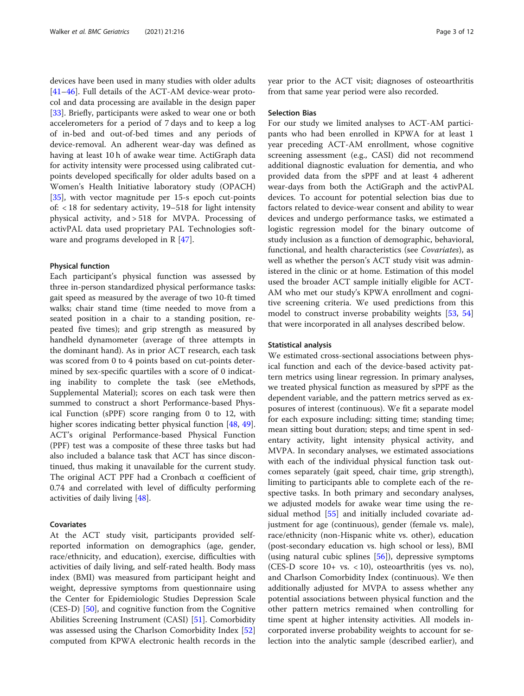devices have been used in many studies with older adults [[41](#page-10-0)–[46](#page-11-0)]. Full details of the ACT-AM device-wear protocol and data processing are available in the design paper [[33\]](#page-10-0). Briefly, participants were asked to wear one or both accelerometers for a period of 7 days and to keep a log of in-bed and out-of-bed times and any periods of device-removal. An adherent wear-day was defined as having at least 10 h of awake wear time. ActiGraph data for activity intensity were processed using calibrated cutpoints developed specifically for older adults based on a Women's Health Initiative laboratory study (OPACH) [[35\]](#page-10-0), with vector magnitude per 15-s epoch cut-points of: < 18 for sedentary activity, 19–518 for light intensity physical activity, and > 518 for MVPA. Processing of activPAL data used proprietary PAL Technologies software and programs developed in R [[47](#page-11-0)].

#### Physical function

Each participant's physical function was assessed by three in-person standardized physical performance tasks: gait speed as measured by the average of two 10-ft timed walks; chair stand time (time needed to move from a seated position in a chair to a standing position, repeated five times); and grip strength as measured by handheld dynamometer (average of three attempts in the dominant hand). As in prior ACT research, each task was scored from 0 to 4 points based on cut-points determined by sex-specific quartiles with a score of 0 indicating inability to complete the task (see eMethods, Supplemental Material); scores on each task were then summed to construct a short Performance-based Physical Function (sPPF) score ranging from 0 to 12, with higher scores indicating better physical function [\[48](#page-11-0), [49](#page-11-0)]. ACT's original Performance-based Physical Function (PPF) test was a composite of these three tasks but had also included a balance task that ACT has since discontinued, thus making it unavailable for the current study. The original ACT PPF had a Cronbach α coefficient of 0.74 and correlated with level of difficulty performing activities of daily living [\[48](#page-11-0)].

#### Covariates

At the ACT study visit, participants provided selfreported information on demographics (age, gender, race/ethnicity, and education), exercise, difficulties with activities of daily living, and self-rated health. Body mass index (BMI) was measured from participant height and weight, depressive symptoms from questionnaire using the Center for Epidemiologic Studies Depression Scale (CES-D) [\[50](#page-11-0)], and cognitive function from the Cognitive Abilities Screening Instrument (CASI) [\[51](#page-11-0)]. Comorbidity was assessed using the Charlson Comorbidity Index [[52](#page-11-0)] computed from KPWA electronic health records in the year prior to the ACT visit; diagnoses of osteoarthritis from that same year period were also recorded.

#### Selection Bias

For our study we limited analyses to ACT-AM participants who had been enrolled in KPWA for at least 1 year preceding ACT-AM enrollment, whose cognitive screening assessment (e.g., CASI) did not recommend additional diagnostic evaluation for dementia, and who provided data from the sPPF and at least 4 adherent wear-days from both the ActiGraph and the activPAL devices. To account for potential selection bias due to factors related to device-wear consent and ability to wear devices and undergo performance tasks, we estimated a logistic regression model for the binary outcome of study inclusion as a function of demographic, behavioral, functional, and health characteristics (see Covariates), as well as whether the person's ACT study visit was administered in the clinic or at home. Estimation of this model used the broader ACT sample initially eligible for ACT-AM who met our study's KPWA enrollment and cognitive screening criteria. We used predictions from this model to construct inverse probability weights [\[53](#page-11-0), [54](#page-11-0)] that were incorporated in all analyses described below.

#### Statistical analysis

We estimated cross-sectional associations between physical function and each of the device-based activity pattern metrics using linear regression. In primary analyses, we treated physical function as measured by sPPF as the dependent variable, and the pattern metrics served as exposures of interest (continuous). We fit a separate model for each exposure including: sitting time; standing time; mean sitting bout duration; steps; and time spent in sedentary activity, light intensity physical activity, and MVPA. In secondary analyses, we estimated associations with each of the individual physical function task outcomes separately (gait speed, chair time, grip strength), limiting to participants able to complete each of the respective tasks. In both primary and secondary analyses, we adjusted models for awake wear time using the residual method [\[55](#page-11-0)] and initially included covariate adjustment for age (continuous), gender (female vs. male), race/ethnicity (non-Hispanic white vs. other), education (post-secondary education vs. high school or less), BMI (using natural cubic splines [\[56\]](#page-11-0)), depressive symptoms (CES-D score 10+ vs. < 10), osteoarthritis (yes vs. no), and Charlson Comorbidity Index (continuous). We then additionally adjusted for MVPA to assess whether any potential associations between physical function and the other pattern metrics remained when controlling for time spent at higher intensity activities. All models incorporated inverse probability weights to account for selection into the analytic sample (described earlier), and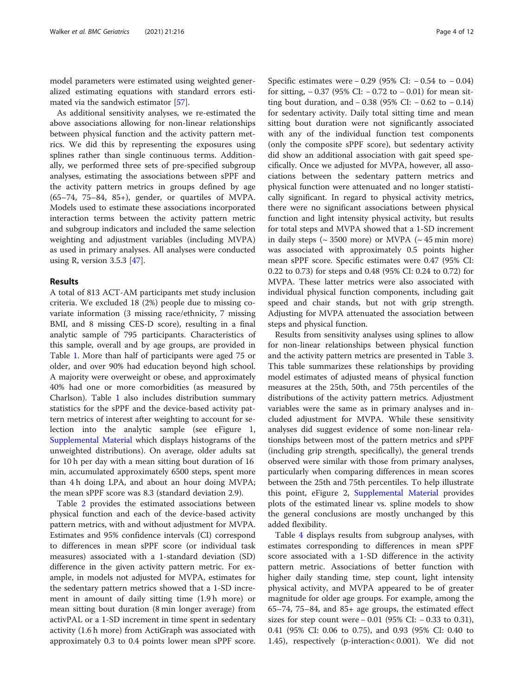model parameters were estimated using weighted generalized estimating equations with standard errors estimated via the sandwich estimator [[57](#page-11-0)].

As additional sensitivity analyses, we re-estimated the above associations allowing for non-linear relationships between physical function and the activity pattern metrics. We did this by representing the exposures using splines rather than single continuous terms. Additionally, we performed three sets of pre-specified subgroup analyses, estimating the associations between sPPF and the activity pattern metrics in groups defined by age (65–74, 75–84, 85+), gender, or quartiles of MVPA. Models used to estimate these associations incorporated interaction terms between the activity pattern metric and subgroup indicators and included the same selection weighting and adjustment variables (including MVPA) as used in primary analyses. All analyses were conducted using R, version 3.5.3 [\[47\]](#page-11-0).

#### Results

A total of 813 ACT-AM participants met study inclusion criteria. We excluded 18 (2%) people due to missing covariate information (3 missing race/ethnicity, 7 missing BMI, and 8 missing CES-D score), resulting in a final analytic sample of 795 participants. Characteristics of this sample, overall and by age groups, are provided in Table [1](#page-4-0). More than half of participants were aged 75 or older, and over 90% had education beyond high school. A majority were overweight or obese, and approximately 40% had one or more comorbidities (as measured by Charlson). Table [1](#page-4-0) also includes distribution summary statistics for the sPPF and the device-based activity pattern metrics of interest after weighting to account for selection into the analytic sample (see eFigure 1, [Supplemental Material](#page-9-0) which displays histograms of the unweighted distributions). On average, older adults sat for 10 h per day with a mean sitting bout duration of 16 min, accumulated approximately 6500 steps, spent more than 4 h doing LPA, and about an hour doing MVPA; the mean sPPF score was 8.3 (standard deviation 2.9).

Table [2](#page-5-0) provides the estimated associations between physical function and each of the device-based activity pattern metrics, with and without adjustment for MVPA. Estimates and 95% confidence intervals (CI) correspond to differences in mean sPPF score (or individual task measures) associated with a 1-standard deviation (SD) difference in the given activity pattern metric. For example, in models not adjusted for MVPA, estimates for the sedentary pattern metrics showed that a 1-SD increment in amount of daily sitting time (1.9 h more) or mean sitting bout duration (8 min longer average) from activPAL or a 1-SD increment in time spent in sedentary activity (1.6 h more) from ActiGraph was associated with approximately 0.3 to 0.4 points lower mean sPPF score.

Specific estimates were − 0.29 (95% CI: − 0.54 to − 0.04) for sitting,  $-0.37$  (95% CI:  $-0.72$  to  $-0.01$ ) for mean sitting bout duration, and − 0.38 (95% CI: − 0.62 to − 0.14) for sedentary activity. Daily total sitting time and mean sitting bout duration were not significantly associated with any of the individual function test components (only the composite sPPF score), but sedentary activity did show an additional association with gait speed specifically. Once we adjusted for MVPA, however, all associations between the sedentary pattern metrics and physical function were attenuated and no longer statistically significant. In regard to physical activity metrics, there were no significant associations between physical function and light intensity physical activity, but results for total steps and MVPA showed that a 1-SD increment in daily steps ( $\sim$  3500 more) or MVPA ( $\sim$  45 min more) was associated with approximately 0.5 points higher mean sPPF score. Specific estimates were 0.47 (95% CI: 0.22 to 0.73) for steps and 0.48 (95% CI: 0.24 to 0.72) for MVPA. These latter metrics were also associated with individual physical function components, including gait speed and chair stands, but not with grip strength. Adjusting for MVPA attenuated the association between steps and physical function.

Results from sensitivity analyses using splines to allow for non-linear relationships between physical function and the activity pattern metrics are presented in Table [3](#page-6-0). This table summarizes these relationships by providing model estimates of adjusted means of physical function measures at the 25th, 50th, and 75th percentiles of the distributions of the activity pattern metrics. Adjustment variables were the same as in primary analyses and included adjustment for MVPA. While these sensitivity analyses did suggest evidence of some non-linear relationships between most of the pattern metrics and sPPF (including grip strength, specifically), the general trends observed were similar with those from primary analyses, particularly when comparing differences in mean scores between the 25th and 75th percentiles. To help illustrate this point, eFigure 2, [Supplemental Material](#page-9-0) provides plots of the estimated linear vs. spline models to show the general conclusions are mostly unchanged by this added flexibility.

Table [4](#page-7-0) displays results from subgroup analyses, with estimates corresponding to differences in mean sPPF score associated with a 1-SD difference in the activity pattern metric. Associations of better function with higher daily standing time, step count, light intensity physical activity, and MVPA appeared to be of greater magnitude for older age groups. For example, among the 65–74, 75–84, and 85+ age groups, the estimated effect sizes for step count were − 0.01 (95% CI: − 0.33 to 0.31), 0.41 (95% CI: 0.06 to 0.75), and 0.93 (95% CI: 0.40 to 1.45), respectively (p-interaction< 0.001). We did not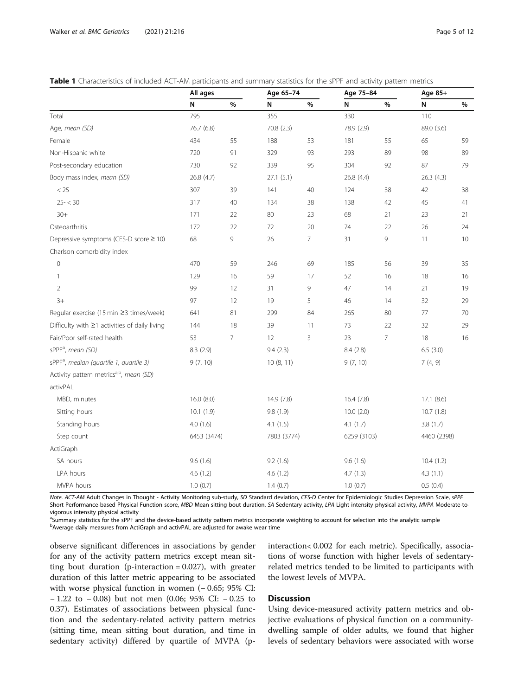<span id="page-4-0"></span>

| <b>Table 1</b> Characteristics of included ACT-AM participants and summary statistics for the sPPF and activity pattern metrics |  |
|---------------------------------------------------------------------------------------------------------------------------------|--|
|---------------------------------------------------------------------------------------------------------------------------------|--|

|                                                     | All ages    |      | Age 65-74   |    | Age 75-84   |                | Age 85+     |      |
|-----------------------------------------------------|-------------|------|-------------|----|-------------|----------------|-------------|------|
|                                                     | N           | $\%$ | N           | %  | N           | %              | N           | %    |
| Total                                               | 795         |      | 355         |    | 330         |                | 110         |      |
| Age, mean (SD)                                      | 76.7 (6.8)  |      | 70.8 (2.3)  |    | 78.9 (2.9)  |                | 89.0 (3.6)  |      |
| Female                                              | 434         | 55   | 188         | 53 | 181         | 55             | 65          | 59   |
| Non-Hispanic white                                  | 720         | 91   | 329         | 93 | 293         | 89             | 98          | 89   |
| Post-secondary education                            | 730         | 92   | 339         | 95 | 304         | 92             | 87          | 79   |
| Body mass index, mean (SD)                          | 26.8 (4.7)  |      | 27.1(5.1)   |    | 26.8 (4.4)  |                | 26.3(4.3)   |      |
| < 25                                                | 307         | 39   | 141         | 40 | 124         | 38             | 42          | 38   |
| $25 - < 30$                                         | 317         | 40   | 134         | 38 | 138         | 42             | 45          | 41   |
| $30+$                                               | 171         | 22   | 80          | 23 | 68          | 21             | 23          | 21   |
| Osteoarthritis                                      | 172         | 22   | 72          | 20 | 74          | 22             | 26          | 24   |
| Depressive symptoms (CES-D score ≥ 10)              | 68          | 9    | 26          | 7  | 31          | 9              | 11          | $10$ |
| Charlson comorbidity index                          |             |      |             |    |             |                |             |      |
| $\overline{0}$                                      | 470         | 59   | 246         | 69 | 185         | 56             | 39          | 35   |
| 1                                                   | 129         | 16   | 59          | 17 | 52          | 16             | 18          | 16   |
| $\overline{2}$                                      | 99          | 12   | 31          | 9  | 47          | 14             | 21          | 19   |
| $3+$                                                | 97          | 12   | 19          | 5  | 46          | 14             | 32          | 29   |
| Regular exercise (15 min ≥3 times/week)             | 641         | 81   | 299         | 84 | 265         | 80             | 77          | 70   |
| Difficulty with $\geq$ 1 activities of daily living | 144         | 18   | 39          | 11 | 73          | 22             | 32          | 29   |
| Fair/Poor self-rated health                         | 53          | 7    | 12          | 3  | 23          | $\overline{7}$ | 18          | 16   |
| sPPF <sup>a</sup> , mean (SD)                       | 8.3 (2.9)   |      | 9.4(2.3)    |    | 8.4(2.8)    |                | 6.5(3.0)    |      |
| sPPF <sup>a</sup> , median (quartile 1, quartile 3) | 9(7, 10)    |      | 10(8, 11)   |    | 9(7, 10)    |                | 7(4, 9)     |      |
| Activity pattern metricsa,b, mean (SD)              |             |      |             |    |             |                |             |      |
| activPAL                                            |             |      |             |    |             |                |             |      |
| MBD, minutes                                        | 16.0(8.0)   |      | 14.9 (7.8)  |    | 16.4 (7.8)  |                | 17.1 (8.6)  |      |
| Sitting hours                                       | 10.1(1.9)   |      | 9.8 (1.9)   |    | 10.0(2.0)   |                | 10.7(1.8)   |      |
| Standing hours                                      | 4.0(1.6)    |      | 4.1(1.5)    |    | 4.1(1.7)    |                | 3.8(1.7)    |      |
| Step count                                          | 6453 (3474) |      | 7803 (3774) |    | 6259 (3103) |                | 4460 (2398) |      |
| ActiGraph                                           |             |      |             |    |             |                |             |      |
| SA hours                                            | 9.6(1.6)    |      | 9.2(1.6)    |    | 9.6(1.6)    |                | 10.4(1.2)   |      |
| LPA hours                                           | 4.6(1.2)    |      | 4.6(1.2)    |    | 4.7(1.3)    |                | 4.3(1.1)    |      |
| MVPA hours                                          | 1.0(0.7)    |      | 1.4(0.7)    |    | 1.0(0.7)    |                | 0.5(0.4)    |      |

Note. ACT-AM Adult Changes in Thought - Activity Monitoring sub-study, SD Standard deviation, CES-D Center for Epidemiologic Studies Depression Scale, sPPF Short Performance-based Physical Function score, MBD Mean sitting bout duration, SA Sedentary activity, LPA Light intensity physical activity, MVPA Moderate-tovigorous intensity physical activity

<sup>a</sup>Summary statistics for the sPPF and the device-based activity pattern metrics incorporate weighting to account for selection into the analytic sample based activity pattern metrics incorporate weighting to account for s Average daily measures from ActiGraph and activPAL are adjusted for awake wear time

observe significant differences in associations by gender for any of the activity pattern metrics except mean sitting bout duration (p-interaction  $= 0.027$ ), with greater duration of this latter metric appearing to be associated with worse physical function in women (− 0.65; 95% CI: − 1.22 to − 0.08) but not men (0.06; 95% CI: − 0.25 to 0.37). Estimates of associations between physical function and the sedentary-related activity pattern metrics (sitting time, mean sitting bout duration, and time in sedentary activity) differed by quartile of MVPA (pinteraction< 0.002 for each metric). Specifically, associations of worse function with higher levels of sedentaryrelated metrics tended to be limited to participants with the lowest levels of MVPA.

## **Discussion**

Using device-measured activity pattern metrics and objective evaluations of physical function on a communitydwelling sample of older adults, we found that higher levels of sedentary behaviors were associated with worse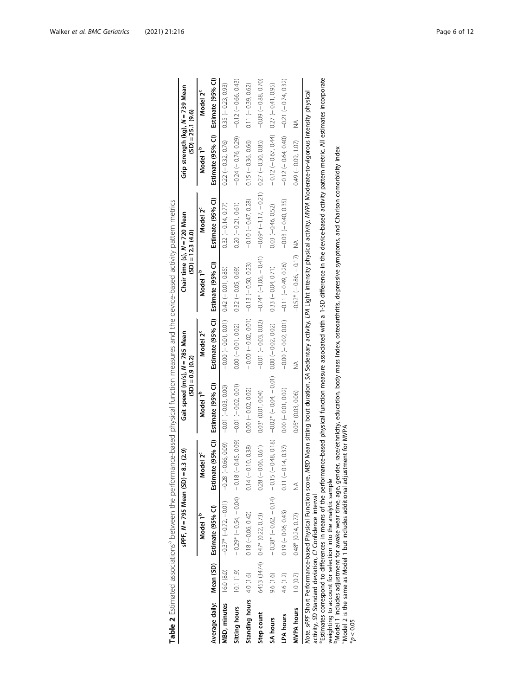<span id="page-5-0"></span>

|                          |            | $s$ PPF, $N = 795$ Mean $(SD) =$                                                                                                                                                                                                                                                                                                                                                                                                                                                                                                                                                                                                                                   | 8.3 (2.9)               | Gait speed (m/s), N = 785 Mean<br>$(SD) = 0.9$ (0.2)                                                                                       |                                           | Chair time (s), N = 720 Mean<br>$(SD) = 12.3$ $(4.0)$ |                                             | Grip strength (kg), N = 739 Mean                    | $(SD) = 25.1 (9.6)$   |
|--------------------------|------------|--------------------------------------------------------------------------------------------------------------------------------------------------------------------------------------------------------------------------------------------------------------------------------------------------------------------------------------------------------------------------------------------------------------------------------------------------------------------------------------------------------------------------------------------------------------------------------------------------------------------------------------------------------------------|-------------------------|--------------------------------------------------------------------------------------------------------------------------------------------|-------------------------------------------|-------------------------------------------------------|---------------------------------------------|-----------------------------------------------------|-----------------------|
|                          |            | Model 1 <sup>b</sup>                                                                                                                                                                                                                                                                                                                                                                                                                                                                                                                                                                                                                                               | Model 2 <sup>c</sup>    | Model 1 <sup>b</sup>                                                                                                                       | Model 2 <sup>c</sup>                      | Model 1 <sup>b</sup>                                  | Model 2 <sup>c</sup>                        | Model 1 <sup>b</sup>                                | Model 2 <sup>c</sup>  |
|                          |            | Average daily: Mean (SD) Estimate (95% CI)                                                                                                                                                                                                                                                                                                                                                                                                                                                                                                                                                                                                                         | Estimate (95% CI)       | Estimate (95% CI)                                                                                                                          | Estimate (95% CI) Estimate (95% CI)       |                                                       | Estimate (95% CI)                           | Estimate (95% CI) Estimate (95% CI)                 |                       |
| MBD, minutes             | 16.0 (8.0) | $-0.37$ * $(-0.72, -0.01)$                                                                                                                                                                                                                                                                                                                                                                                                                                                                                                                                                                                                                                         | $-0.28(-0.66, 0.09)$    | $-0.01 (-0.03, 0.00)$                                                                                                                      | $-0.00(-0.01, 0.01)$ 0.00 (-0.01, 0.00)   |                                                       | $0.32 (-0.14, 0.77)$                        | $0.22 (-0.32, 0.76)$                                | $0.35 (-0.23, 0.93)$  |
| Sitting hours            | 10.1(1.9)  | $-0.29*(-0.54, -0.04)$ $-0.18(-0.45, 0.05)$ $-0.01(-0.02, 0.01)$                                                                                                                                                                                                                                                                                                                                                                                                                                                                                                                                                                                                   |                         |                                                                                                                                            | $0.00 (-0.01, 0.02)$                      | $0.32 (-0.05, 0.69)$                                  | $0.20 (-0.21, 0.61)$                        | $-0.24$ ( $-0.76$ , 0.29) $-0.12$ ( $-0.66$ , 0.43) |                       |
| Standing hours 4.0 (1.6) |            | $0.18 (-0.06, 0.42)$                                                                                                                                                                                                                                                                                                                                                                                                                                                                                                                                                                                                                                               | 0.10, 0.38<br>$0.14$ (- | $0.00 (-0.02, 0.02)$                                                                                                                       | $-0.00(-0.02, 0.01)$ $-0.13(-0.50, 0.23)$ |                                                       | $-0.10 (-0.47, 0.28)$                       | $0.15 (-0.36, 0.66)$                                | $0.11 (-0.39, 0.62)$  |
| Step count               |            | 6453 (3474) 0.47* (0.22, 0.73)                                                                                                                                                                                                                                                                                                                                                                                                                                                                                                                                                                                                                                     | $0.28(-0.06, 0.61)$     | $0.03*$ $(0.01, 0.04)$                                                                                                                     | $-0.01(-0.03, 0.02)$                      | $-0.74*$ $(-1.06, -0.41)$                             | $-0.69*(-1.17, -0.21)$ 0.27 $(-0.30, 0.85)$ |                                                     | $-0.09(-0.88, 0.70)$  |
| SA hours                 | 9.6 (1.6)  | $-0.38*(-0.62, -0.14) -0.15(-0.48, 0.18)$                                                                                                                                                                                                                                                                                                                                                                                                                                                                                                                                                                                                                          |                         | $-0.02*(-0.04,-0.01)$                                                                                                                      | $0.00 (-0.02, 0.02)$                      | $0.33(-0.04, 0.71)$                                   | $0.03 (-0.46, 0.52)$                        | $-0.12(-0.67, 0.44)$                                | $0.27 (-0.41, 0.95)$  |
| LPA hours                | 4.6 (1.2)  | $0.19 (-0.06, 0.43)$                                                                                                                                                                                                                                                                                                                                                                                                                                                                                                                                                                                                                                               | $0.11 (-0.14, 0.37)$    | $0.00 (-0.01, 0.02)$                                                                                                                       | $-0.00(-0.02, 0.01)$ $-0.010(-0.000)$     |                                                       | $-0.03$ $(-0.40, 0.35)$                     | $-0.12 (-0.64, 0.40)$                               | $-0.21 (-0.74, 0.32)$ |
| <b>MVPA</b> hours        | 1.0(0.7)   | $0.48*$ $(0.24, 0.72)$                                                                                                                                                                                                                                                                                                                                                                                                                                                                                                                                                                                                                                             | ≸                       | $0.05*$ $(0.03, 0.06)$                                                                                                                     | ≸                                         | $-0.52^* (-0.86, -0.17)$                              | ≸                                           | $0.49 (-0.09, 1.07)$                                | ≸                     |
| 20.05                    |            | "Estimates correspond to differences in means of the performance-based physical function measure associated with a 1-SD difference in the device-based activity pattern metric. All estimates incorporate<br>Model 1 includes adjustment for awake wear time, age, gender, race/ethnicity, education, body mass index, osteoarthritis, depressive symptoms, and Charlson comorbidity index<br>'Model 2 is the same as Model 1 but includes additional adjustment for MVPA<br>Note. sPPF Short Performance-based Physical Function score,<br>weighting to account for selection into the analytic sample<br>activity, SD Standard deviation, CI Confidence interval |                         | MBD Mean sitting bout duration, SA Sedentary activity, LPA Light intensity physical activity, MVPA Moderate-to-vigorous intensity physical |                                           |                                                       |                                             |                                                     |                       |

|             | .<br>.<br>.<br>i |
|-------------|------------------|
|             |                  |
|             |                  |
|             | .<br>.           |
|             |                  |
|             |                  |
| l<br>j<br>l |                  |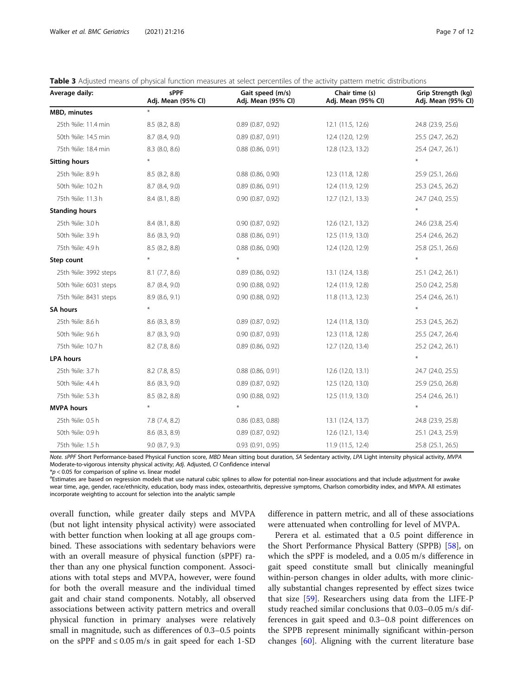| Average daily:        | sPPF<br>Adj. Mean (95% CI) | Gait speed (m/s)<br>Adj. Mean (95% CI) | Chair time (s)<br>Adj. Mean (95% CI) | Grip Strength (kg)<br>Adj. Mean (95% Cl) |
|-----------------------|----------------------------|----------------------------------------|--------------------------------------|------------------------------------------|
| <b>MBD, minutes</b>   | $\ast$                     |                                        |                                      |                                          |
| 25th %ile: 11.4 min   | 8.5(8.2, 8.8)              | $0.89$ $(0.87, 0.92)$                  | 12.1 (11.5, 12.6)                    | 24.8 (23.9, 25.6)                        |
| 50th %ile: 14.5 min   | 8.7 (8.4, 9.0)             | $0.89$ $(0.87, 0.91)$                  | 12.4 (12.0, 12.9)                    | 25.5 (24.7, 26.2)                        |
| 75th %ile: 18.4 min   | 8.3 (8.0, 8.6)             | $0.88$ $(0.86, 0.91)$                  | 12.8 (12.3, 13.2)                    | 25.4 (24.7, 26.1)                        |
| <b>Sitting hours</b>  | $\star$                    |                                        |                                      | $\ast$                                   |
| 25th %ile: 8.9 h      | $8.5$ $(8.2, 8.8)$         | $0.88$ $(0.86, 0.90)$                  | 12.3 (11.8, 12.8)                    | 25.9 (25.1, 26.6)                        |
| 50th %ile: 10.2 h     | 8.7 (8.4, 9.0)             | $0.89$ (0.86, 0.91)                    | 12.4 (11.9, 12.9)                    | 25.3 (24.5, 26.2)                        |
| 75th %ile: 11.3 h     | 8.4 (8.1, 8.8)             | $0.90$ $(0.87, 0.92)$                  | 12.7 (12.1, 13.3)                    | 24.7 (24.0, 25.5)                        |
| <b>Standing hours</b> |                            |                                        |                                      | $\ast$                                   |
| 25th %ile: 3.0 h      | $8.4$ $(8.1, 8.8)$         | $0.90$ $(0.87, 0.92)$                  | 12.6 (12.1, 13.2)                    | 24.6 (23.8, 25.4)                        |
| 50th %ile: 3.9 h      | 8.6 (8.3, 9.0)             | $0.88$ $(0.86, 0.91)$                  | 12.5 (11.9, 13.0)                    | 25.4 (24.6, 26.2)                        |
| 75th %ile: 4.9 h      | $8.5$ $(8.2, 8.8)$         | $0.88$ $(0.86, 0.90)$                  | 12.4 (12.0, 12.9)                    | 25.8 (25.1, 26.6)                        |
| Step count            | $\star$                    | $\star$                                |                                      | $\ast$                                   |
| 25th %ile: 3992 steps | $8.1$ (7.7, 8.6)           | $0.89$ $(0.86, 0.92)$                  | 13.1 (12.4, 13.8)                    | 25.1 (24.2, 26.1)                        |
| 50th %ile: 6031 steps | 8.7 (8.4, 9.0)             | $0.90$ $(0.88, 0.92)$                  | 12.4 (11.9, 12.8)                    | 25.0 (24.2, 25.8)                        |
| 75th %ile: 8431 steps | 8.9(8.6, 9.1)              | $0.90$ $(0.88, 0.92)$                  | 11.8 (11.3, 12.3)                    | 25.4 (24.6, 26.1)                        |
| <b>SA hours</b>       | $\star$                    |                                        |                                      |                                          |
| 25th %ile: 8.6 h      | 8.6 (8.3, 8.9)             | $0.89$ $(0.87, 0.92)$                  | 12.4 (11.8, 13.0)                    | 25.3 (24.5, 26.2)                        |
| 50th %ile: 9.6 h      | 8.7 (8.3, 9.0)             | $0.90$ $(0.87, 0.93)$                  | 12.3 (11.8, 12.8)                    | 25.5 (24.7, 26.4)                        |
| 75th %ile: 10.7 h     | 8.2 (7.8, 8.6)             | $0.89$ (0.86, 0.92)                    | 12.7 (12.0, 13.4)                    | 25.2 (24.2, 26.1)                        |
| <b>LPA</b> hours      |                            |                                        |                                      | $\ast$                                   |
| 25th %ile: 3.7 h      | $8.2$ (7.8, 8.5)           | $0.88$ $(0.86, 0.91)$                  | 12.6 (12.0, 13.1)                    | 24.7 (24.0, 25.5)                        |
| 50th %ile: 4.4 h      | 8.6 (8.3, 9.0)             | $0.89$ $(0.87, 0.92)$                  | 12.5 (12.0, 13.0)                    | 25.9 (25.0, 26.8)                        |
| 75th %ile: 5.3 h      | 8.5 (8.2, 8.8)             | $0.90$ $(0.88, 0.92)$                  | 12.5 (11.9, 13.0)                    | 25.4 (24.6, 26.1)                        |
| <b>MVPA</b> hours     | $\ast$                     | $\ast$                                 |                                      | $\ast$                                   |
| 25th %ile: 0.5 h      | 7.8 (7.4, 8.2)             | $0.86$ $(0.83, 0.88)$                  | 13.1 (12.4, 13.7)                    | 24.8 (23.9, 25.8)                        |
| 50th %ile: 0.9 h      | $8.6$ $(8.3, 8.9)$         | $0.89$ $(0.87, 0.92)$                  | 12.6 (12.1, 13.4)                    | 25.1 (24.3, 25.9)                        |
| 75th %ile: 1.5 h      | $9.0$ $(8.7, 9.3)$         | 0.93(0.91, 0.95)                       | 11.9 (11.5, 12.4)                    | 25.8 (25.1, 26.5)                        |

<span id="page-6-0"></span>

|  |  |  |  |  |  | Table 3 Adjusted means of physical function measures at select percentiles of the activity pattern metric distributions |
|--|--|--|--|--|--|-------------------------------------------------------------------------------------------------------------------------|
|--|--|--|--|--|--|-------------------------------------------------------------------------------------------------------------------------|

Note. sPPF Short Performance-based Physical Function score, MBD Mean sitting bout duration, SA Sedentary activity, LPA Light intensity physical activity, MVPA Moderate-to-vigorous intensity physical activity; Adj. Adjusted, CI Confidence interval

 $*p$  < 0.05 for comparison of spline vs. linear model

<sup>a</sup>Estimates are based on regression models that use natural cubic splines to allow for potential non-linear associations and that include adjustment for awake wear time, age, gender, race/ethnicity, education, body mass index, osteoarthritis, depressive symptoms, Charlson comorbidity index, and MVPA. All estimates incorporate weighting to account for selection into the analytic sample

overall function, while greater daily steps and MVPA (but not light intensity physical activity) were associated with better function when looking at all age groups combined. These associations with sedentary behaviors were with an overall measure of physical function (sPPF) rather than any one physical function component. Associations with total steps and MVPA, however, were found for both the overall measure and the individual timed gait and chair stand components. Notably, all observed associations between activity pattern metrics and overall physical function in primary analyses were relatively small in magnitude, such as differences of 0.3–0.5 points on the sPPF and ≤ 0.05 m/s in gait speed for each 1-SD

difference in pattern metric, and all of these associations were attenuated when controlling for level of MVPA.

Perera et al. estimated that a 0.5 point difference in the Short Performance Physical Battery (SPPB) [[58\]](#page-11-0), on which the sPPF is modeled, and a 0.05 m/s difference in gait speed constitute small but clinically meaningful within-person changes in older adults, with more clinically substantial changes represented by effect sizes twice that size [[59\]](#page-11-0). Researchers using data from the LIFE-P study reached similar conclusions that 0.03–0.05 m/s differences in gait speed and 0.3–0.8 point differences on the SPPB represent minimally significant within-person changes [[60\]](#page-11-0). Aligning with the current literature base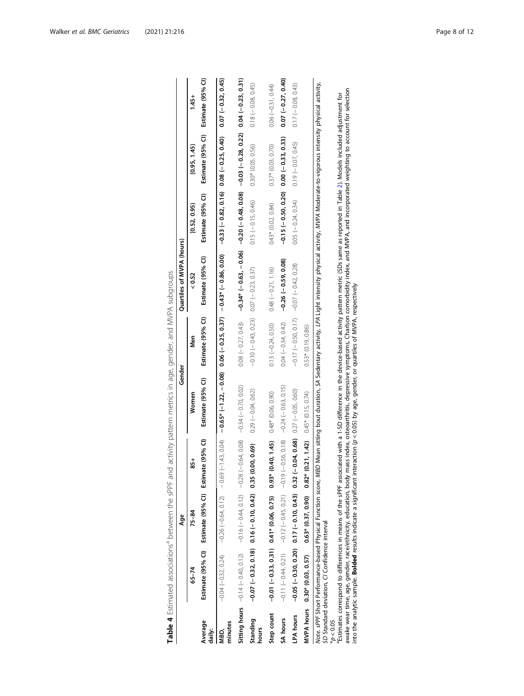<span id="page-7-0"></span>

|                   |                                                                                                                                                                                                                                    | Age                                                                                                    |             | Gender                                                                                                                                               |                                             | Quartiles of MVPA (hours)                                                                                                                                                                                        |                                              |                        |                      |
|-------------------|------------------------------------------------------------------------------------------------------------------------------------------------------------------------------------------------------------------------------------|--------------------------------------------------------------------------------------------------------|-------------|------------------------------------------------------------------------------------------------------------------------------------------------------|---------------------------------------------|------------------------------------------------------------------------------------------------------------------------------------------------------------------------------------------------------------------|----------------------------------------------|------------------------|----------------------|
|                   | $65 - 74$                                                                                                                                                                                                                          | $75 - 84$                                                                                              | $rac{1}{8}$ | Women                                                                                                                                                | Men                                         | 52 <sub>0.52</sub>                                                                                                                                                                                               | [0.52, 0.95]                                 | [0.95, 1.45]           | $1.45 +$             |
| Average<br>daily: |                                                                                                                                                                                                                                    | Estimate (95% CI) Estimate (95% CI) Estimate (95% CI)                                                  |             | Estimate (95% CI)                                                                                                                                    | Estimate (95% CI)                           | Estimate (95% CI)                                                                                                                                                                                                | Estimate (95% CI)                            | Estimate (95% CI)      | Estimate (95% CI)    |
| minutes<br>NBD.   | $-0.04 (-0.32, 0.24)$                                                                                                                                                                                                              | $-0.26 (-0.64, 0.12) - 0.69$                                                                           |             | $(-143, 0.04)$ - 0.65* (-1.22, -0.08) 0.00 (-0.25, 0.37) -0.43* (-0.86, 0.00)                                                                        |                                             |                                                                                                                                                                                                                  | $-0.33$ $(-0.82, 0.16)$ 0.08 $(-0.25, 0.40)$ |                        | $0.07 (-0.32, 0.45)$ |
|                   | <b>Sitting hours</b> $-$ 0-0.40, 0.72, 0.72, 0.72, 0.72, 0.72, 0.72, 0.72, 0.72, 0.72, 0.72, 0.70, 0.70, 0.70, 0.70, 0.70, 0.70, 0.70, 0.70, 0.70, 0.70, 0.70, 0.70, 0.70, 0.70, 0.70, 0.70, 0.70, 0.70, 0.70, 0.70, 0.70, 0.70, 0 |                                                                                                        |             |                                                                                                                                                      | $0.08 (-0.27, 0.43)$                        | $-0.34*$ $-0.63$ , $-0.06$ ) $-0.20$ ( $-0.08$ ) $-0.009 - 0.009 - 0.009 - 0.23$ ) $-0.23$                                                                                                                       |                                              |                        |                      |
| Standing<br>hours |                                                                                                                                                                                                                                    | $-0.07(-0.32, 0.18)$ 0.16 $(-0.10, 0.42)$ 0.35 (0                                                      | 0.00, 0.69  | $0.29(-0.04, 0.62)$                                                                                                                                  | $-0.10 (-0.43, 0.23)$ 0.07 $(-0.23, 0.37)$  |                                                                                                                                                                                                                  | $0.15 (-0.15, 0.46)$                         | 0.30* (0.05, 0.56)     | $0.18 (-0.08, 0.45)$ |
| Step count        |                                                                                                                                                                                                                                    | $-0.01 (-0.33, 0.31)$ 0.41* (0.06, 0.75) 0.93*                                                         |             | $(0.40, 1.45)$ $0.48^*$ $(0.06, 0.90)$                                                                                                               | $0.13 (-0.24, 0.50)$                        | $0.48 (-0.21, 1.16)$                                                                                                                                                                                             | $0.43*$ $(0.02, 0.84)$                       | $0.37*$ $(0.03, 0.70)$ | $0.06(-0.31, 0.44)$  |
| SA hours          |                                                                                                                                                                                                                                    | $-0.11 (-0.44, 0.21)$ $-0.12 (-0.45, 0.21)$ $-0.19 (-0.56, 0.18)$ $-0.24 (-0.63, 0.15)$                |             |                                                                                                                                                      | $0.04 (-0.34, 0.42)$                        | $-0.26$ $(-0.59, 0.08)$                                                                                                                                                                                          | $-0.15(-0.50, 0.20)$                         | $0.00 (-0.33, 0.33)$   | $0.07 (-0.27, 0.40)$ |
| LPA hours         |                                                                                                                                                                                                                                    | $-0.30$ , $0.30$ , $0.30$ , $0.030$ , $0.17$ , $0.043$ ) $0.37$ , $0.88$ $0.68$ $0.27$ $(-0.05, 0.60)$ |             |                                                                                                                                                      | $-0.17$ (-0.50, 0.17) $-0.07$ (-0.42, 0.28) |                                                                                                                                                                                                                  | $0.05 (-0.24, 0.34)$                         | $0.19 (-0.07, 0.45)$   | $0.17 (-0.08, 0.43)$ |
|                   | MVPA hours 0.30* (0.03, 0.57)                                                                                                                                                                                                      | $0.63^*$ (0.37, 0.90) 0.82*                                                                            |             | $(0.21, 1.42)$ $0.45*$ $(0.15, 0.74)$                                                                                                                | $0.53*$ $(0.19, 0.86)$                      |                                                                                                                                                                                                                  |                                              |                        |                      |
|                   | SD Standard deviation, CI Confidence interval                                                                                                                                                                                      |                                                                                                        |             |                                                                                                                                                      |                                             | Note. sPPF Short Performance-based Physical Function score, MBD Mean sitting bout duration, SA Sedentary activity, LPA Light intensity physical activity, MVPA Moderate-to-vigorous intensity physical activity, |                                              |                        |                      |
| $^{*}D < 0.05$    |                                                                                                                                                                                                                                    |                                                                                                        |             |                                                                                                                                                      |                                             | "Estimates correspond to differences in means of the sPPF associated with a 1-SD difference in the device-based activity pattern metric (SDs same as reported in Table 2). Models included adjustment for        |                                              |                        |                      |
|                   |                                                                                                                                                                                                                                    |                                                                                                        |             |                                                                                                                                                      |                                             | awake wear time, age, gender, race/ethnicity, education, body mass index, osteoarthritis, depressive symptoms, Charlson comorbidity index, and incorporated weighting to account for selection                   |                                              |                        |                      |
|                   |                                                                                                                                                                                                                                    |                                                                                                        |             | into the analytic sample. <b>Bolded</b> results indicate a significant interaction ( $p < 0.05$ ) by age, gender, or quartiles of MVPA, respectively |                                             |                                                                                                                                                                                                                  |                                              |                        |                      |

Table 4 Estimated associations<sup>a</sup> between the sPPF and activity pattern metrics in age, gender, and MVPA subgroups Table 4 Estimated associations<sup>a</sup> between the sPPF and activity pattern metrics in age, gender, and MVPA subgroups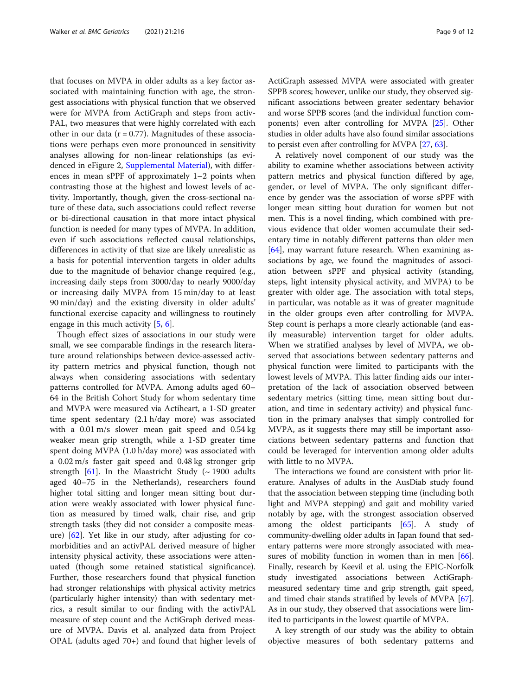that focuses on MVPA in older adults as a key factor associated with maintaining function with age, the strongest associations with physical function that we observed were for MVPA from ActiGraph and steps from activ-PAL, two measures that were highly correlated with each other in our data ( $r = 0.77$ ). Magnitudes of these associations were perhaps even more pronounced in sensitivity analyses allowing for non-linear relationships (as evidenced in eFigure 2, [Supplemental Material](#page-9-0)), with differences in mean sPPF of approximately 1–2 points when contrasting those at the highest and lowest levels of activity. Importantly, though, given the cross-sectional nature of these data, such associations could reflect reverse or bi-directional causation in that more intact physical function is needed for many types of MVPA. In addition, even if such associations reflected causal relationships, differences in activity of that size are likely unrealistic as a basis for potential intervention targets in older adults due to the magnitude of behavior change required (e.g., increasing daily steps from 3000/day to nearly 9000/day or increasing daily MVPA from 15 min/day to at least 90 min/day) and the existing diversity in older adults' functional exercise capacity and willingness to routinely engage in this much activity  $[5, 6]$  $[5, 6]$  $[5, 6]$  $[5, 6]$ .

Though effect sizes of associations in our study were small, we see comparable findings in the research literature around relationships between device-assessed activity pattern metrics and physical function, though not always when considering associations with sedentary patterns controlled for MVPA. Among adults aged 60– 64 in the British Cohort Study for whom sedentary time and MVPA were measured via Actiheart, a 1-SD greater time spent sedentary (2.1 h/day more) was associated with a 0.01 m/s slower mean gait speed and 0.54 kg weaker mean grip strength, while a 1-SD greater time spent doing MVPA (1.0 h/day more) was associated with a 0.02 m/s faster gait speed and 0.48 kg stronger grip strength  $[61]$  $[61]$ . In the Maastricht Study (~ 1900 adults aged 40–75 in the Netherlands), researchers found higher total sitting and longer mean sitting bout duration were weakly associated with lower physical function as measured by timed walk, chair rise, and grip strength tasks (they did not consider a composite measure) [[62\]](#page-11-0). Yet like in our study, after adjusting for comorbidities and an activPAL derived measure of higher intensity physical activity, these associations were attenuated (though some retained statistical significance). Further, those researchers found that physical function had stronger relationships with physical activity metrics (particularly higher intensity) than with sedentary metrics, a result similar to our finding with the activPAL measure of step count and the ActiGraph derived measure of MVPA. Davis et al. analyzed data from Project OPAL (adults aged 70+) and found that higher levels of ActiGraph assessed MVPA were associated with greater SPPB scores; however, unlike our study, they observed significant associations between greater sedentary behavior and worse SPPB scores (and the individual function components) even after controlling for MVPA [[25](#page-10-0)]. Other studies in older adults have also found similar associations to persist even after controlling for MVPA [[27](#page-10-0), [63\]](#page-11-0).

A relatively novel component of our study was the ability to examine whether associations between activity pattern metrics and physical function differed by age, gender, or level of MVPA. The only significant difference by gender was the association of worse sPPF with longer mean sitting bout duration for women but not men. This is a novel finding, which combined with previous evidence that older women accumulate their sedentary time in notably different patterns than older men [[64\]](#page-11-0), may warrant future research. When examining associations by age, we found the magnitudes of association between sPPF and physical activity (standing, steps, light intensity physical activity, and MVPA) to be greater with older age. The association with total steps, in particular, was notable as it was of greater magnitude in the older groups even after controlling for MVPA. Step count is perhaps a more clearly actionable (and easily measurable) intervention target for older adults. When we stratified analyses by level of MVPA, we observed that associations between sedentary patterns and physical function were limited to participants with the lowest levels of MVPA. This latter finding aids our interpretation of the lack of association observed between sedentary metrics (sitting time, mean sitting bout duration, and time in sedentary activity) and physical function in the primary analyses that simply controlled for MVPA, as it suggests there may still be important associations between sedentary patterns and function that could be leveraged for intervention among older adults with little to no MVPA.

The interactions we found are consistent with prior literature. Analyses of adults in the AusDiab study found that the association between stepping time (including both light and MVPA stepping) and gait and mobility varied notably by age, with the strongest association observed among the oldest participants [\[65\]](#page-11-0). A study of community-dwelling older adults in Japan found that sedentary patterns were more strongly associated with mea-sures of mobility function in women than in men [[66](#page-11-0)]. Finally, research by Keevil et al. using the EPIC-Norfolk study investigated associations between ActiGraphmeasured sedentary time and grip strength, gait speed, and timed chair stands stratified by levels of MVPA [[67](#page-11-0)]. As in our study, they observed that associations were limited to participants in the lowest quartile of MVPA.

A key strength of our study was the ability to obtain objective measures of both sedentary patterns and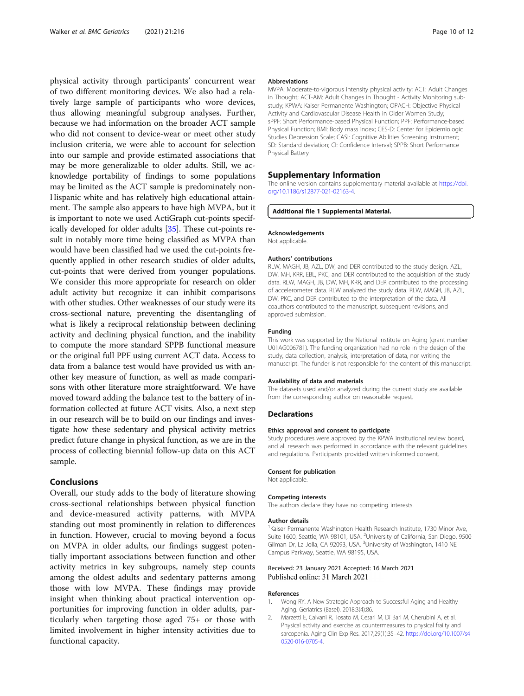<span id="page-9-0"></span>physical activity through participants' concurrent wear of two different monitoring devices. We also had a relatively large sample of participants who wore devices, thus allowing meaningful subgroup analyses. Further, because we had information on the broader ACT sample who did not consent to device-wear or meet other study inclusion criteria, we were able to account for selection into our sample and provide estimated associations that may be more generalizable to older adults. Still, we acknowledge portability of findings to some populations may be limited as the ACT sample is predominately non-Hispanic white and has relatively high educational attainment. The sample also appears to have high MVPA, but it is important to note we used ActiGraph cut-points specifically developed for older adults [[35](#page-10-0)]. These cut-points result in notably more time being classified as MVPA than would have been classified had we used the cut-points frequently applied in other research studies of older adults, cut-points that were derived from younger populations. We consider this more appropriate for research on older adult activity but recognize it can inhibit comparisons with other studies. Other weaknesses of our study were its cross-sectional nature, preventing the disentangling of what is likely a reciprocal relationship between declining activity and declining physical function, and the inability to compute the more standard SPPB functional measure or the original full PPF using current ACT data. Access to data from a balance test would have provided us with another key measure of function, as well as made comparisons with other literature more straightforward. We have moved toward adding the balance test to the battery of information collected at future ACT visits. Also, a next step in our research will be to build on our findings and investigate how these sedentary and physical activity metrics predict future change in physical function, as we are in the process of collecting biennial follow-up data on this ACT sample.

#### Conclusions

Overall, our study adds to the body of literature showing cross-sectional relationships between physical function and device-measured activity patterns, with MVPA standing out most prominently in relation to differences in function. However, crucial to moving beyond a focus on MVPA in older adults, our findings suggest potentially important associations between function and other activity metrics in key subgroups, namely step counts among the oldest adults and sedentary patterns among those with low MVPA. These findings may provide insight when thinking about practical intervention opportunities for improving function in older adults, particularly when targeting those aged 75+ or those with limited involvement in higher intensity activities due to functional capacity.

#### Abbreviations

MVPA: Moderate-to-vigorous intensity physical activity; ACT: Adult Changes in Thought; ACT-AM: Adult Changes in Thought - Activity Monitoring substudy; KPWA: Kaiser Permanente Washington; OPACH: Objective Physical Activity and Cardiovascular Disease Health in Older Women Study; sPPF: Short Performance-based Physical Function; PPF: Performance-based Physical Function; BMI: Body mass index; CES-D: Center for Epidemiologic Studies Depression Scale; CASI: Cognitive Abilities Screening Instrument; SD: Standard deviation; CI: Confidence Interval; SPPB: Short Performance Physical Battery

#### Supplementary Information

The online version contains supplementary material available at [https://doi.](https://doi.org/10.1186/s12877-021-02163-4) [org/10.1186/s12877-021-02163-4.](https://doi.org/10.1186/s12877-021-02163-4)

#### Additional file 1 Supplemental Material.

#### Acknowledgements

Not applicable.

#### Authors' contributions

RLW, MAGH, JB, AZL, DW, and DER contributed to the study design. AZL, DW, MH, KRR, EBL, PKC, and DER contributed to the acquisition of the study data. RLW, MAGH, JB, DW, MH, KRR, and DER contributed to the processing of accelerometer data. RLW analyzed the study data. RLW, MAGH, JB, AZL, DW, PKC, and DER contributed to the interpretation of the data. All coauthors contributed to the manuscript, subsequent revisions, and approved submission.

#### Funding

This work was supported by the National Institute on Aging (grant number U01AG006781). The funding organization had no role in the design of the study, data collection, analysis, interpretation of data, nor writing the manuscript. The funder is not responsible for the content of this manuscript.

#### Availability of data and materials

The datasets used and/or analyzed during the current study are available from the corresponding author on reasonable request.

#### Declarations

#### Ethics approval and consent to participate

Study procedures were approved by the KPWA institutional review board, and all research was performed in accordance with the relevant guidelines and regulations. Participants provided written informed consent.

#### Consent for publication

Not applicable.

#### Competing interests

The authors declare they have no competing interests.

#### Author details

<sup>1</sup> Kaiser Permanente Washington Health Research Institute, 1730 Minor Ave Suite 1600, Seattle, WA 98101, USA. <sup>2</sup>University of California, San Diego, 9500 Gilman Dr, La Jolla, CA 92093, USA. <sup>3</sup>University of Washington, 1410 NE Campus Parkway, Seattle, WA 98195, USA.

#### Received: 23 January 2021 Accepted: 16 March 2021 Published online: 31 March 2021

#### References

- 1. Wong RY. A New Strategic Approach to Successful Aging and Healthy Aging. Geriatrics (Basel). 2018;3(4):86.
- 2. Marzetti E, Calvani R, Tosato M, Cesari M, Di Bari M, Cherubini A, et al. Physical activity and exercise as countermeasures to physical frailty and sarcopenia. Aging Clin Exp Res. 2017;29(1):35–42. [https://doi.org/10.1007/s4](https://doi.org/10.1007/s40520-016-0705-4) [0520-016-0705-4.](https://doi.org/10.1007/s40520-016-0705-4)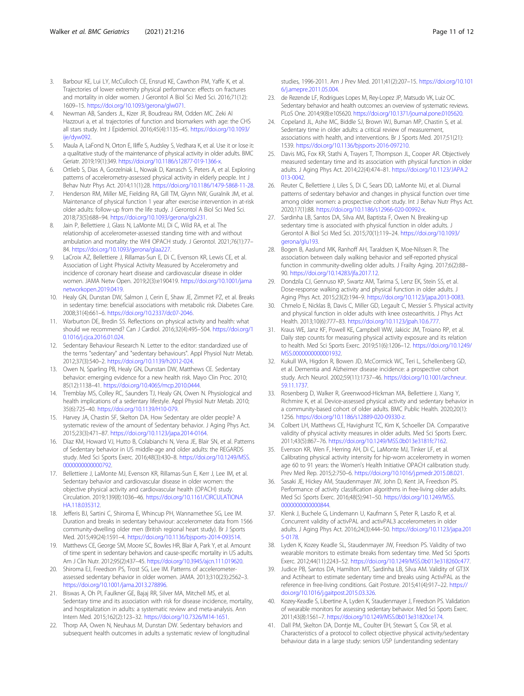- <span id="page-10-0"></span>3. Barbour KE, Lui LY, McCulloch CE, Ensrud KE, Cawthon PM, Yaffe K, et al. Trajectories of lower extremity physical performance: effects on fractures and mortality in older women. J Gerontol A Biol Sci Med Sci. 2016;71(12): 1609–15. [https://doi.org/10.1093/gerona/glw071.](https://doi.org/10.1093/gerona/glw071)
- 4. Newman AB, Sanders JL, Kizer JR, Boudreau RM, Odden MC. Zeki Al Hazzouri a, et al. trajectories of function and biomarkers with age: the CHS all stars study. Int J Epidemiol. 2016;45(4):1135–45. [https://doi.org/10.1093/](https://doi.org/10.1093/ije/dyw092) ije/dyw092
- Maula A, LaFond N, Orton E, Iliffe S, Audsley S, Vedhara K, et al. Use it or lose it: a qualitative study of the maintenance of physical activity in older adults. BMC Geriatr. 2019;19(1):349. <https://doi.org/10.1186/s12877-019-1366-x>.
- 6. Ortlieb S, Dias A, Gorzelniak L, Nowak D, Karrasch S, Peters A, et al. Exploring patterns of accelerometry-assessed physical activity in elderly people. Int J Behav Nutr Phys Act. 2014;11(1):28. <https://doi.org/10.1186/1479-5868-11-28>.
- 7. Henderson RM, Miller ME, Fielding RA, Gill TM, Glynn NW, Guralnik JM, et al. Maintenance of physical function 1 year after exercise intervention in at-risk older adults: follow-up from the life study. J Gerontol A Biol Sci Med Sci. 2018;73(5):688–94. <https://doi.org/10.1093/gerona/glx231>.
- Jain P, Bellettiere J, Glass N, LaMonte MJ, Di C, Wild RA, et al. The relationship of accelerometer-assessed standing time with and without ambulation and mortality: the WHI OPACH study. J Gerontol. 2021;76(1):77– 84. [https://doi.org/10.1093/gerona/glaa227.](https://doi.org/10.1093/gerona/glaa227)
- LaCroix AZ, Bellettiere J, Rillamas-Sun E, Di C, Evenson KR, Lewis CE, et al. Association of Light Physical Activity Measured by Accelerometry and incidence of coronary heart disease and cardiovascular disease in older women. JAMA Netw Open. 2019;2(3):e190419. [https://doi.org/10.1001/jama](https://doi.org/10.1001/jamanetworkopen.2019.0419) [networkopen.2019.0419.](https://doi.org/10.1001/jamanetworkopen.2019.0419)
- 10. Healy GN, Dunstan DW, Salmon J, Cerin E, Shaw JE, Zimmet PZ, et al. Breaks in sedentary time: beneficial associations with metabolic risk. Diabetes Care. 2008;31(4):661–6. [https://doi.org/10.2337/dc07-2046.](https://doi.org/10.2337/dc07-2046)
- 11. Warburton DE, Bredin SS. Reflections on physical activity and health: what should we recommend? Can J Cardiol. 2016;32(4):495–504. [https://doi.org/1](https://doi.org/10.1016/j.cjca.2016.01.024) [0.1016/j.cjca.2016.01.024](https://doi.org/10.1016/j.cjca.2016.01.024).
- 12. Sedentary Behaviour Research N. Letter to the editor: standardized use of the terms "sedentary" and "sedentary behaviours". Appl Physiol Nutr Metab. 2012;37(3):540–2. <https://doi.org/10.1139/h2012-024>.
- 13. Owen N, Sparling PB, Healy GN, Dunstan DW, Matthews CE. Sedentary behavior: emerging evidence for a new health risk. Mayo Clin Proc. 2010; 85(12):1138–41. <https://doi.org/10.4065/mcp.2010.0444>.
- 14. Tremblay MS, Colley RC, Saunders TJ, Healy GN, Owen N. Physiological and health implications of a sedentary lifestyle. Appl Physiol Nutr Metab. 2010; 35(6):725–40. [https://doi.org/10.1139/H10-079.](https://doi.org/10.1139/H10-079)
- Harvey JA, Chastin SF, Skelton DA. How Sedentary are older people? A systematic review of the amount of Sedentary behavior. J Aging Phys Act. 2015;23(3):471–87. <https://doi.org/10.1123/japa.2014-0164>.
- 16. Diaz KM, Howard VJ, Hutto B, Colabianchi N, Vena JE, Blair SN, et al. Patterns of Sedentary behavior in US middle-age and older adults: the REGARDS study. Med Sci Sports Exerc. 2016;48(3):430–8. [https://doi.org/10.1249/MSS.](https://doi.org/10.1249/MSS.0000000000000792) [0000000000000792](https://doi.org/10.1249/MSS.0000000000000792).
- 17. Bellettiere J, LaMonte MJ, Evenson KR, Rillamas-Sun E, Kerr J, Lee IM, et al. Sedentary behavior and cardiovascular disease in older women: the objective physical activity and cardiovascular health (OPACH) study. Circulation. 2019;139(8):1036–46. [https://doi.org/10.1161/CIRCULATIONA](https://doi.org/10.1161/CIRCULATIONAHA.118.035312) [HA.118.035312](https://doi.org/10.1161/CIRCULATIONAHA.118.035312).
- 18. Jefferis BJ, Sartini C, Shiroma E, Whincup PH, Wannamethee SG, Lee IM. Duration and breaks in sedentary behaviour: accelerometer data from 1566 community-dwelling older men (British regional heart study). Br J Sports Med. 2015;49(24):1591–4. <https://doi.org/10.1136/bjsports-2014-093514>.
- 19. Matthews CE, George SM, Moore SC, Bowles HR, Blair A, Park Y, et al. Amount of time spent in sedentary behaviors and cause-specific mortality in US adults. Am J Clin Nutr. 2012;95(2):437–45. [https://doi.org/10.3945/ajcn.111.019620.](https://doi.org/10.3945/ajcn.111.019620)
- 20. Shiroma EJ, Freedson PS, Trost SG, Lee IM. Patterns of accelerometerassessed sedentary behavior in older women. JAMA. 2013;310(23):2562–3. <https://doi.org/10.1001/jama.2013.278896>.
- 21. Biswas A, Oh PI, Faulkner GE, Bajaj RR, Silver MA, Mitchell MS, et al. Sedentary time and its association with risk for disease incidence, mortality, and hospitalization in adults: a systematic review and meta-analysis. Ann Intern Med. 2015;162(2):123–32. <https://doi.org/10.7326/M14-1651>.
- 22. Thorp AA, Owen N, Neuhaus M, Dunstan DW. Sedentary behaviors and subsequent health outcomes in adults a systematic review of longitudinal

studies, 1996-2011. Am J Prev Med. 2011;41(2):207–15. [https://doi.org/10.101](https://doi.org/10.1016/j.amepre.2011.05.004) [6/j.amepre.2011.05.004](https://doi.org/10.1016/j.amepre.2011.05.004).

- 23. de Rezende LF, Rodrigues Lopes M, Rey-Lopez JP, Matsudo VK, Luiz OC. Sedentary behavior and health outcomes: an overview of systematic reviews. PLoS One. 2014;9(8):e105620. [https://doi.org/10.1371/journal.pone.0105620.](https://doi.org/10.1371/journal.pone.0105620)
- 24. Copeland JL, Ashe MC, Biddle SJ, Brown WJ, Buman MP, Chastin S, et al. Sedentary time in older adults: a critical review of measurement, associations with health, and interventions. Br J Sports Med. 2017;51(21): 1539. [https://doi.org/10.1136/bjsports-2016-097210.](https://doi.org/10.1136/bjsports-2016-097210)
- 25. Davis MG, Fox KR, Stathi A, Trayers T, Thompson JL, Cooper AR. Objectively measured sedentary time and its association with physical function in older adults. J Aging Phys Act. 2014;22(4):474–81. [https://doi.org/10.1123/JAPA.2](https://doi.org/10.1123/JAPA.2013-0042) [013-0042.](https://doi.org/10.1123/JAPA.2013-0042)
- 26. Reuter C, Bellettiere J, Liles S, Di C, Sears DD, LaMonte MJ, et al. Diurnal patterns of sedentary behavior and changes in physical function over time among older women: a prospective cohort study. Int J Behav Nutr Phys Act. 2020;17(1):88. <https://doi.org/10.1186/s12966-020-00992-x>.
- 27. Sardinha LB, Santos DA, Silva AM, Baptista F, Owen N. Breaking-up sedentary time is associated with physical function in older adults. J Gerontol A Biol Sci Med Sci. 2015;70(1):119–24. [https://doi.org/10.1093/](https://doi.org/10.1093/gerona/glu193) [gerona/glu193.](https://doi.org/10.1093/gerona/glu193)
- 28. Bogen B, Aaslund MK, Ranhoff AH, Taraldsen K, Moe-Nilssen R. The association between daily walking behavior and self-reported physical function in community-dwelling older adults. J Frailty Aging. 2017;6(2):88– 90. [https://doi.org/10.14283/jfa.2017.12.](https://doi.org/10.14283/jfa.2017.12)
- 29. Dondzila CJ, Gennuso KP, Swartz AM, Tarima S, Lenz EK, Stein SS, et al. Dose-response walking activity and physical function in older adults. J Aging Phys Act. 2015;23(2):194–9. [https://doi.org/10.1123/japa.2013-0083.](https://doi.org/10.1123/japa.2013-0083)
- Chmelo E, Nicklas B, Davis C, Miller GD, Legault C, Messier S. Physical activity and physical function in older adults with knee osteoarthritis. J Phys Act Health. 2013;10(6):777–83. <https://doi.org/10.1123/jpah.10.6.777>.
- 31. Kraus WE, Janz KF, Powell KE, Campbell WW, Jakicic JM, Troiano RP, et al. Daily step counts for measuring physical activity exposure and its relation to health. Med Sci Sports Exerc. 2019;51(6):1206–12. [https://doi.org/10.1249/](https://doi.org/10.1249/MSS.0000000000001932) [MSS.0000000000001932.](https://doi.org/10.1249/MSS.0000000000001932)
- 32. Kukull WA, Higdon R, Bowen JD, McCormick WC, Teri L, Schellenberg GD, et al. Dementia and Alzheimer disease incidence: a prospective cohort study. Arch Neurol. 2002;59(11):1737–46. [https://doi.org/10.1001/archneur.](https://doi.org/10.1001/archneur.59.11.1737) [59.11.1737](https://doi.org/10.1001/archneur.59.11.1737).
- 33. Rosenberg D, Walker R, Greenwood-Hickman MA, Bellettiere J, Xiang Y, Richmire K, et al. Device-assessed physical activity and sedentary behavior in a community-based cohort of older adults. BMC Public Health. 2020;20(1): 1256. [https://doi.org/10.1186/s12889-020-09330-z.](https://doi.org/10.1186/s12889-020-09330-z)
- 34. Colbert LH, Matthews CE, Havighurst TC, Kim K, Schoeller DA. Comparative validity of physical activity measures in older adults. Med Sci Sports Exerc. 2011;43(5):867–76. <https://doi.org/10.1249/MSS.0b013e3181fc7162>.
- 35. Evenson KR, Wen F, Herring AH, Di C, LaMonte MJ, Tinker LF, et al. Calibrating physical activity intensity for hip-worn accelerometry in women age 60 to 91 years: the Women's Health Initiative OPACH calibration study. Prev Med Rep. 2015;2:750–6. <https://doi.org/10.1016/j.pmedr.2015.08.021>.
- 36. Sasaki JE, Hickey AM, Staudenmayer JW, John D, Kent JA, Freedson PS. Performance of activity classification algorithms in free-living older adults. Med Sci Sports Exerc. 2016;48(5):941–50. [https://doi.org/10.1249/MSS.](https://doi.org/10.1249/MSS.0000000000000844) [0000000000000844](https://doi.org/10.1249/MSS.0000000000000844)
- 37. Klenk J, Buchele G, Lindemann U, Kaufmann S, Peter R, Laszlo R, et al. Concurrent validity of activPAL and activPAL3 accelerometers in older adults. J Aging Phys Act. 2016;24(3):444–50. [https://doi.org/10.1123/japa.201](https://doi.org/10.1123/japa.2015-0178) [5-0178.](https://doi.org/10.1123/japa.2015-0178)
- 38. Lyden K, Kozey Keadle SL, Staudenmayer JW, Freedson PS. Validity of two wearable monitors to estimate breaks from sedentary time. Med Sci Sports Exerc. 2012;44(11):2243–52. [https://doi.org/10.1249/MSS.0b013e318260c477.](https://doi.org/10.1249/MSS.0b013e318260c477)
- 39. Judice PB, Santos DA, Hamilton MT, Sardinha LB, Silva AM. Validity of GT3X and Actiheart to estimate sedentary time and breaks using ActivPAL as the reference in free-living conditions. Gait Posture. 2015;41(4):917–22. [https://](https://doi.org/10.1016/j.gaitpost.2015.03.326) [doi.org/10.1016/j.gaitpost.2015.03.326](https://doi.org/10.1016/j.gaitpost.2015.03.326).
- 40. Kozey-Keadle S, Libertine A, Lyden K, Staudenmayer J, Freedson PS. Validation of wearable monitors for assessing sedentary behavior. Med Sci Sports Exerc. 2011;43(8):1561–7. <https://doi.org/10.1249/MSS.0b013e31820ce174>.
- 41. Dall PM, Skelton DA, Dontje ML, Coulter EH, Stewart S, Cox SR, et al. Characteristics of a protocol to collect objective physical activity/sedentary behaviour data in a large study: seniors USP (understanding sedentary